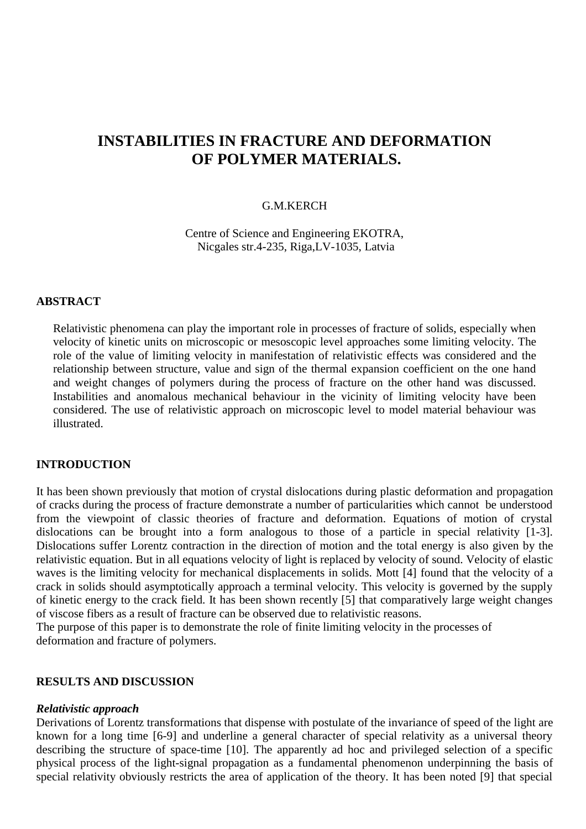# **INSTABILITIES IN FRACTURE AND DEFORMATION OF POLYMER MATERIALS.**

### G.M.KERCH

Centre of Science and Engineering EKOTRA, Nicgales str.4-235, Riga,LV-1035, Latvia

#### **ABSTRACT**

Relativistic phenomena can play the important role in processes of fracture of solids, especially when velocity of kinetic units on microscopic or mesoscopic level approaches some limiting velocity. The role of the value of limiting velocity in manifestation of relativistic effects was considered and the relationship between structure, value and sign of the thermal expansion coefficient on the one hand and weight changes of polymers during the process of fracture on the other hand was discussed. Instabilities and anomalous mechanical behaviour in the vicinity of limiting velocity have been considered. The use of relativistic approach on microscopic level to model material behaviour was illustrated.

### **INTRODUCTION**

It has been shown previously that motion of crystal dislocations during plastic deformation and propagation of cracks during the process of fracture demonstrate a number of particularities which cannot be understood from the viewpoint of classic theories of fracture and deformation. Equations of motion of crystal dislocations can be brought into a form analogous to those of a particle in special relativity [1-3]. Dislocations suffer Lorentz contraction in the direction of motion and the total energy is also given by the relativistic equation. But in all equations velocity of light is replaced by velocity of sound. Velocity of elastic waves is the limiting velocity for mechanical displacements in solids. Mott [4] found that the velocity of a crack in solids should asymptotically approach a terminal velocity. This velocity is governed by the supply of kinetic energy to the crack field. It has been shown recently [5] that comparatively large weight changes of viscose fibers as a result of fracture can be observed due to relativistic reasons.

The purpose of this paper is to demonstrate the role of finite limiting velocity in the processes of deformation and fracture of polymers.

### **RESULTS AND DISCUSSION**

#### *Relativistic approach*

Derivations of Lorentz transformations that dispense with postulate of the invariance of speed of the light are known for a long time [6-9] and underline a general character of special relativity as a universal theory describing the structure of space-time [10]. The apparently ad hoc and privileged selection of a specific physical process of the light-signal propagation as a fundamental phenomenon underpinning the basis of special relativity obviously restricts the area of application of the theory. It has been noted [9] that special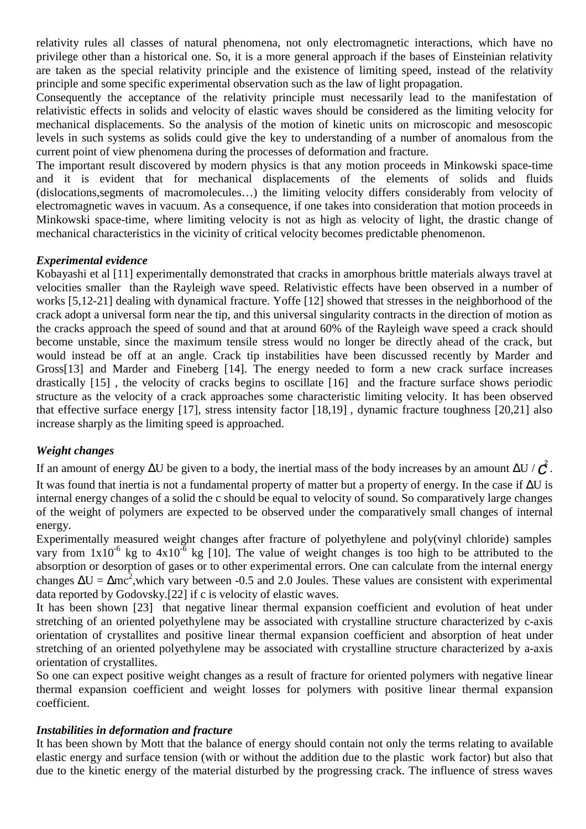relativity rules all classes of natural phenomena, not only electromagnetic interactions, which have no privilege other than a historical one. So, it is a more general approach if the bases of Einsteinian relativity are taken as the special relativity principle and the existence of limiting speed, instead of the relativity principle and some specific experimental observation such as the law of light propagation.

Consequently the acceptance of the relativity principle must necessarily lead to the manifestation of relativistic effects in solids and velocity of elastic waves should be considered as the limiting velocity for mechanical displacements. So the analysis of the motion of kinetic units on microscopic and mesoscopic levels in such systems as solids could give the key to understanding of a number of anomalous from the current point of view phenomena during the processes of deformation and fracture.

The important result discovered by modern physics is that any motion proceeds in Minkowski space-time and it is evident that for mechanical displacements of the elements of solids and fluids (dislocations,segments of macromolecules…) the limiting velocity differs considerably from velocity of electromagnetic waves in vacuum. As a consequence, if one takes into consideration that motion proceeds in Minkowski space-time, where limiting velocity is not as high as velocity of light, the drastic change of mechanical characteristics in the vicinity of critical velocity becomes predictable phenomenon.

### *Experimental evidence*

Kobayashi et al [11] experimentally demonstrated that cracks in amorphous brittle materials always travel at velocities smaller than the Rayleigh wave speed. Relativistic effects have been observed in a number of works [5,12-21] dealing with dynamical fracture. Yoffe [12] showed that stresses in the neighborhood of the crack adopt a universal form near the tip, and this universal singularity contracts in the direction of motion as the cracks approach the speed of sound and that at around 60% of the Rayleigh wave speed a crack should become unstable, since the maximum tensile stress would no longer be directly ahead of the crack, but would instead be off at an angle. Crack tip instabilities have been discussed recently by Marder and Gross[13] and Marder and Fineberg [14]. The energy needed to form a new crack surface increases drastically [15] , the velocity of cracks begins to oscillate [16] and the fracture surface shows periodic structure as the velocity of a crack approaches some characteristic limiting velocity. It has been observed that effective surface energy [17], stress intensity factor [18,19] , dynamic fracture toughness [20,21] also increase sharply as the limiting speed is approached.

# *Weight changes*

If an amount of energy  $\Delta U$  be given to a body, the inertial mass of the body increases by an amount  $\Delta U / \frac{c^2}{C}$ . It was found that inertia is not a fundamental property of matter but a property of energy. In the case if ∆U is internal energy changes of a solid the c should be equal to velocity of sound. So comparatively large changes of the weight of polymers are expected to be observed under the comparatively small changes of internal energy.

Experimentally measured weight changes after fracture of polyethylene and poly(vinyl chloride) samples vary from  $1x10^{-6}$  kg to  $4x10^{-6}$  kg [10]. The value of weight changes is too high to be attributed to the absorption or desorption of gases or to other experimental errors. One can calculate from the internal energy changes  $\Delta U = \Delta mc^2$ , which vary between -0.5 and 2.0 Joules. These values are consistent with experimental data reported by Godovsky.[22] if c is velocity of elastic waves.

It has been shown [23] that negative linear thermal expansion coefficient and evolution of heat under stretching of an oriented polyethylene may be associated with crystalline structure characterized by c-axis orientation of crystallites and positive linear thermal expansion coefficient and absorption of heat under stretching of an oriented polyethylene may be associated with crystalline structure characterized by a-axis orientation of crystallites.

So one can expect positive weight changes as a result of fracture for oriented polymers with negative linear thermal expansion coefficient and weight losses for polymers with positive linear thermal expansion coefficient.

# *Instabilities in deformation and fracture*

It has been shown by Mott that the balance of energy should contain not only the terms relating to available elastic energy and surface tension (with or without the addition due to the plastic work factor) but also that due to the kinetic energy of the material disturbed by the progressing crack. The influence of stress waves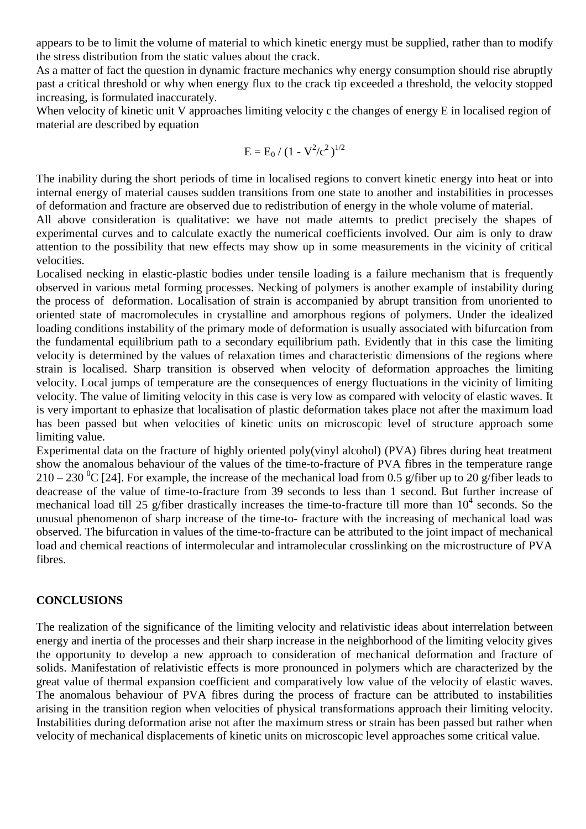appears to be to limit the volume of material to which kinetic energy must be supplied, rather than to modify the stress distribution from the static values about the crack.

As a matter of fact the question in dynamic fracture mechanics why energy consumption should rise abruptly past a critical threshold or why when energy flux to the crack tip exceeded a threshold, the velocity stopped increasing, is formulated inaccurately.

When velocity of kinetic unit V approaches limiting velocity c the changes of energy E in localised region of material are described by equation

$$
E=E_0\,/\,(1\text{ - }V^2/c^2\,)^{1/2}
$$

The inability during the short periods of time in localised regions to convert kinetic energy into heat or into internal energy of material causes sudden transitions from one state to another and instabilities in processes of deformation and fracture are observed due to redistribution of energy in the whole volume of material.

All above consideration is qualitative: we have not made attemts to predict precisely the shapes of experimental curves and to calculate exactly the numerical coefficients involved. Our aim is only to draw attention to the possibility that new effects may show up in some measurements in the vicinity of critical velocities.

Localised necking in elastic-plastic bodies under tensile loading is a failure mechanism that is frequently observed in various metal forming processes. Necking of polymers is another example of instability during the process of deformation. Localisation of strain is accompanied by abrupt transition from unoriented to oriented state of macromolecules in crystalline and amorphous regions of polymers. Under the idealized loading conditions instability of the primary mode of deformation is usually associated with bifurcation from the fundamental equilibrium path to a secondary equilibrium path. Evidently that in this case the limiting velocity is determined by the values of relaxation times and characteristic dimensions of the regions where strain is localised. Sharp transition is observed when velocity of deformation approaches the limiting velocity. Local jumps of temperature are the consequences of energy fluctuations in the vicinity of limiting velocity. The value of limiting velocity in this case is very low as compared with velocity of elastic waves. It is very important to ephasize that localisation of plastic deformation takes place not after the maximum load has been passed but when velocities of kinetic units on microscopic level of structure approach some limiting value.

Experimental data on the fracture of highly oriented poly(vinyl alcohol) (PVA) fibres during heat treatment show the anomalous behaviour of the values of the time-to-fracture of PVA fibres in the temperature range 210 – 230 <sup>o</sup>C [24]. For example, the increase of the mechanical load from 0.5 g/fiber up to 20 g/fiber leads to deacrease of the value of time-to-fracture from 39 seconds to less than 1 second. But further increase of mechanical load till 25 g/fiber drastically increases the time-to-fracture till more than  $10^4$  seconds. So the unusual phenomenon of sharp increase of the time-to- fracture with the increasing of mechanical load was observed. The bifurcation in values of the time-to-fracture can be attributed to the joint impact of mechanical load and chemical reactions of intermolecular and intramolecular crosslinking on the microstructure of PVA fibres.

### **CONCLUSIONS**

The realization of the significance of the limiting velocity and relativistic ideas about interrelation between energy and inertia of the processes and their sharp increase in the neighborhood of the limiting velocity gives the opportunity to develop a new approach to consideration of mechanical deformation and fracture of solids. Manifestation of relativistic effects is more pronounced in polymers which are characterized by the great value of thermal expansion coefficient and comparatively low value of the velocity of elastic waves. The anomalous behaviour of PVA fibres during the process of fracture can be attributed to instabilities arising in the transition region when velocities of physical transformations approach their limiting velocity. Instabilities during deformation arise not after the maximum stress or strain has been passed but rather when velocity of mechanical displacements of kinetic units on microscopic level approaches some critical value.